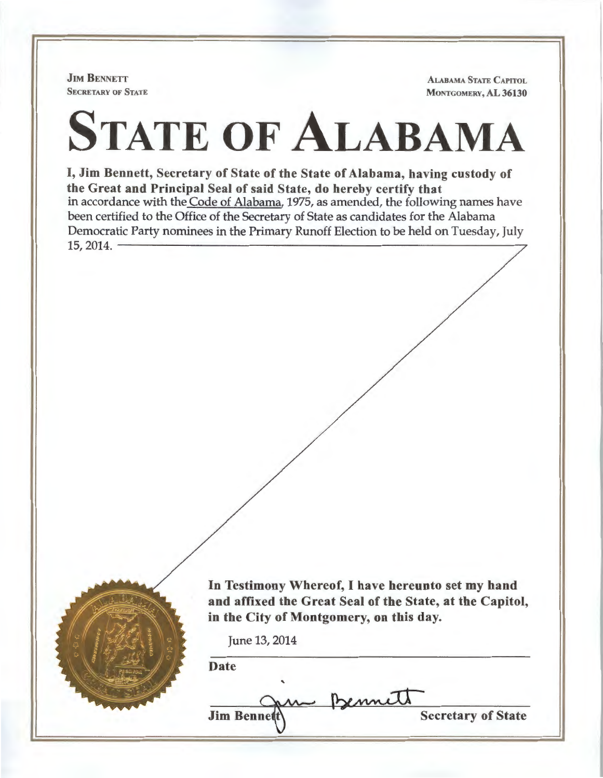**JIM BENNETT** SECRETARY OF STATE

ALABAMA STATE CAPITOL MONTGOMERY, AL 36130

## STATE OF ALABAMA

I, Jim Bennett, Secretary of State of the State of Alabama, having custody of the Great and Principal Seal of said State, do hereby certify that in accordance with the Code of Alabama, 1975, as amended, the following names have been certified to the Office of the Secretary of State as candidates for the Alabama Democratic Party nominees in the Primary Runoff Election to be held on Tuesday, July  $15,2014.$   $\frac{15,2014.}{2}$ 



In Testimony Whereof, I have hereunto set my hand and affixed the Great Seal of the State, at the Capitol, in the City of Montgomery, on this day.

June 13, 2014

Date

m Bennett Jim Bennett\ Secretary of State